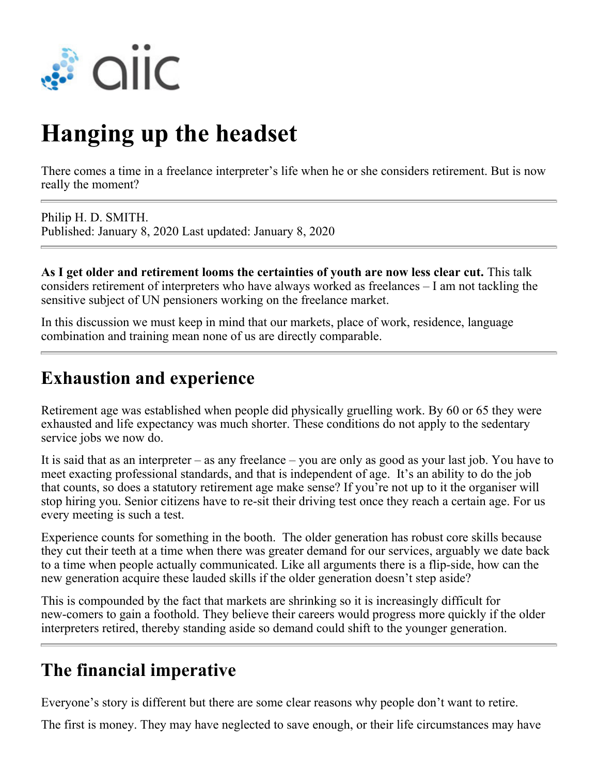

# **Hanging up the headset**

There comes a time in a freelance interpreter's life when he or she considers retirement. But is now really the moment?

Philip H. D. SMITH. Published: January 8, 2020 Last updated: January 8, 2020

**As I get older and retirement looms the certainties of youth are now less clear cut.** This talk considers retirement of interpreters who have always worked as freelances – I am not tackling the sensitive subject of UN pensioners working on the freelance market.

In this discussion we must keep in mind that our markets, place of work, residence, language combination and training mean none of us are directly comparable.

#### **Exhaustion and experience**

Retirement age was established when people did physically gruelling work. By 60 or 65 they were exhausted and life expectancy was much shorter. These conditions do not apply to the sedentary service jobs we now do.

It is said that as an interpreter – as any freelance – you are only as good as your last job. You have to meet exacting professional standards, and that is independent of age. It's an ability to do the job that counts, so does a statutory retirement age make sense? If you're not up to it the organiser will stop hiring you. Senior citizens have to re-sit their driving test once they reach a certain age. For us every meeting is such a test.

Experience counts for something in the booth. The older generation has robust core skills because they cut their teeth at a time when there was greater demand for our services, arguably we date back to a time when people actually communicated. Like all arguments there is a flip-side, how can the new generation acquire these lauded skills if the older generation doesn't step aside?

This is compounded by the fact that markets are shrinking so it is increasingly difficult for new-comers to gain a foothold. They believe their careers would progress more quickly if the older interpreters retired, thereby standing aside so demand could shift to the younger generation.

### **The financial imperative**

Everyone's story is different but there are some clear reasons why people don't want to retire.

The first is money. They may have neglected to save enough, or their life circumstances may have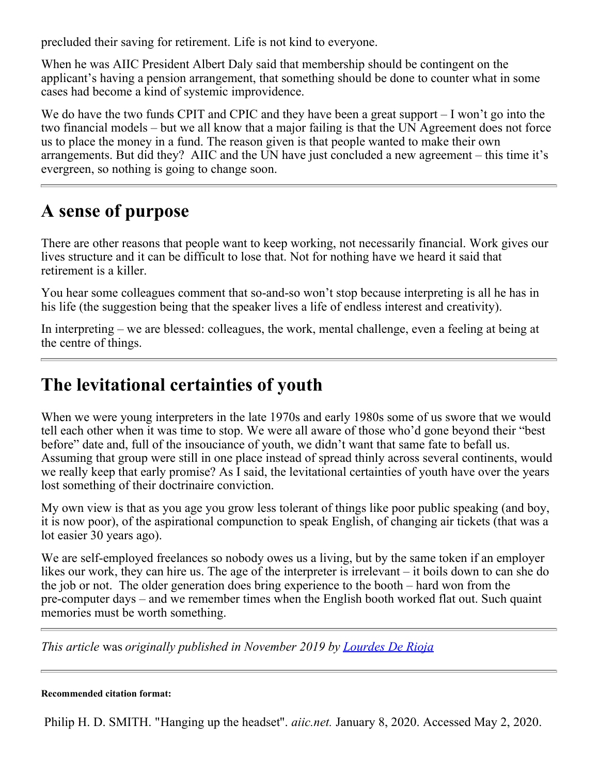precluded their saving for retirement. Life is not kind to everyone.

When he was AIIC President Albert Daly said that membership should be contingent on the applicant's having a pension arrangement, that something should be done to counter what in some cases had become a kind of systemic improvidence.

We do have the two funds CPIT and CPIC and they have been a great support – I won't go into the two financial models – but we all know that a major failing is that the UN Agreement does not force us to place the money in a fund. The reason given is that people wanted to make their own arrangements. But did they? AIIC and the UN have just concluded a new agreement – this time it's evergreen, so nothing is going to change soon.

#### **A sense of purpose**

There are other reasons that people want to keep working, not necessarily financial. Work gives our lives structure and it can be difficult to lose that. Not for nothing have we heard it said that retirement is a killer.

You hear some colleagues comment that so-and-so won't stop because interpreting is all he has in his life (the suggestion being that the speaker lives a life of endless interest and creativity).

In interpreting – we are blessed: colleagues, the work, mental challenge, even a feeling at being at the centre of things.

## **The levitational certainties of youth**

When we were young interpreters in the late 1970s and early 1980s some of us swore that we would tell each other when it was time to stop. We were all aware of those who'd gone beyond their "best before" date and, full of the insouciance of youth, we didn't want that same fate to befall us. Assuming that group were still in one place instead of spread thinly across several continents, would we really keep that early promise? As I said, the levitational certainties of youth have over the years lost something of their doctrinaire conviction.

My own view is that as you age you grow less tolerant of things like poor public speaking (and boy, it is now poor), of the aspirational compunction to speak English, of changing air tickets (that was a lot easier 30 years ago).

We are self-employed freelances so nobody owes us a living, but by the same token if an employer likes our work, they can hire us. The age of the interpreter is irrelevant – it boils down to can she do the job or not. The older generation does bring experience to the booth – hard won from the pre-computer days – and we remember times when the English booth worked flat out. Such quaint memories must be worth something.

*This article* was *originally published in November 2019 by [Lourdes De Rioja](https://www.lourdesderioja.com/author/lourdesderioja/)*

#### **Recommended citation format:**

Philip H. D. SMITH. "Hanging up the headset". *aiic.net.* January 8, 2020. Accessed May 2, 2020.